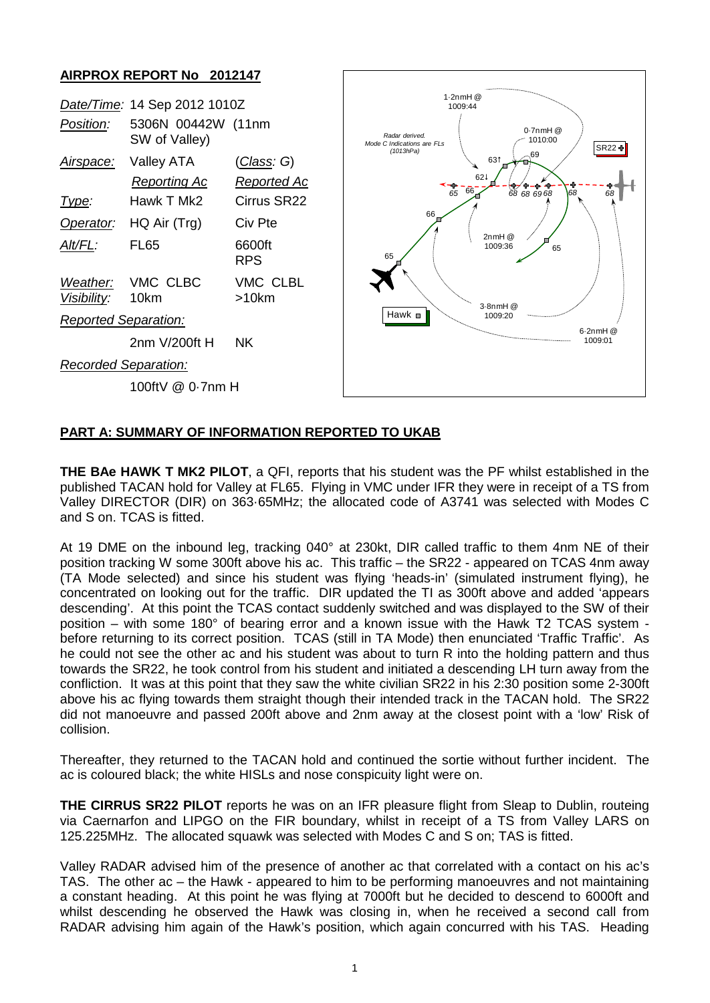## **AIRPROX REPORT No 2012147**



## **PART A: SUMMARY OF INFORMATION REPORTED TO UKAB**

**THE BAe HAWK T MK2 PILOT**, a QFI, reports that his student was the PF whilst established in the published TACAN hold for Valley at FL65. Flying in VMC under IFR they were in receipt of a TS from Valley DIRECTOR (DIR) on 363·65MHz; the allocated code of A3741 was selected with Modes C and S on. TCAS is fitted.

At 19 DME on the inbound leg, tracking 040° at 230kt, DIR called traffic to them 4nm NE of their position tracking W some 300ft above his ac. This traffic – the SR22 - appeared on TCAS 4nm away (TA Mode selected) and since his student was flying 'heads-in' (simulated instrument flying), he concentrated on looking out for the traffic. DIR updated the TI as 300ft above and added 'appears descending'. At this point the TCAS contact suddenly switched and was displayed to the SW of their position – with some 180° of bearing error and a known issue with the Hawk T2 TCAS system before returning to its correct position. TCAS (still in TA Mode) then enunciated 'Traffic Traffic'. As he could not see the other ac and his student was about to turn R into the holding pattern and thus towards the SR22, he took control from his student and initiated a descending LH turn away from the confliction. It was at this point that they saw the white civilian SR22 in his 2:30 position some 2-300ft above his ac flying towards them straight though their intended track in the TACAN hold. The SR22 did not manoeuvre and passed 200ft above and 2nm away at the closest point with a 'low' Risk of collision.

Thereafter, they returned to the TACAN hold and continued the sortie without further incident. The ac is coloured black; the white HISLs and nose conspicuity light were on.

**THE CIRRUS SR22 PILOT** reports he was on an IFR pleasure flight from Sleap to Dublin, routeing via Caernarfon and LIPGO on the FIR boundary, whilst in receipt of a TS from Valley LARS on 125.225MHz. The allocated squawk was selected with Modes C and S on; TAS is fitted.

Valley RADAR advised him of the presence of another ac that correlated with a contact on his ac's TAS. The other ac – the Hawk - appeared to him to be performing manoeuvres and not maintaining a constant heading. At this point he was flying at 7000ft but he decided to descend to 6000ft and whilst descending he observed the Hawk was closing in, when he received a second call from RADAR advising him again of the Hawk's position, which again concurred with his TAS. Heading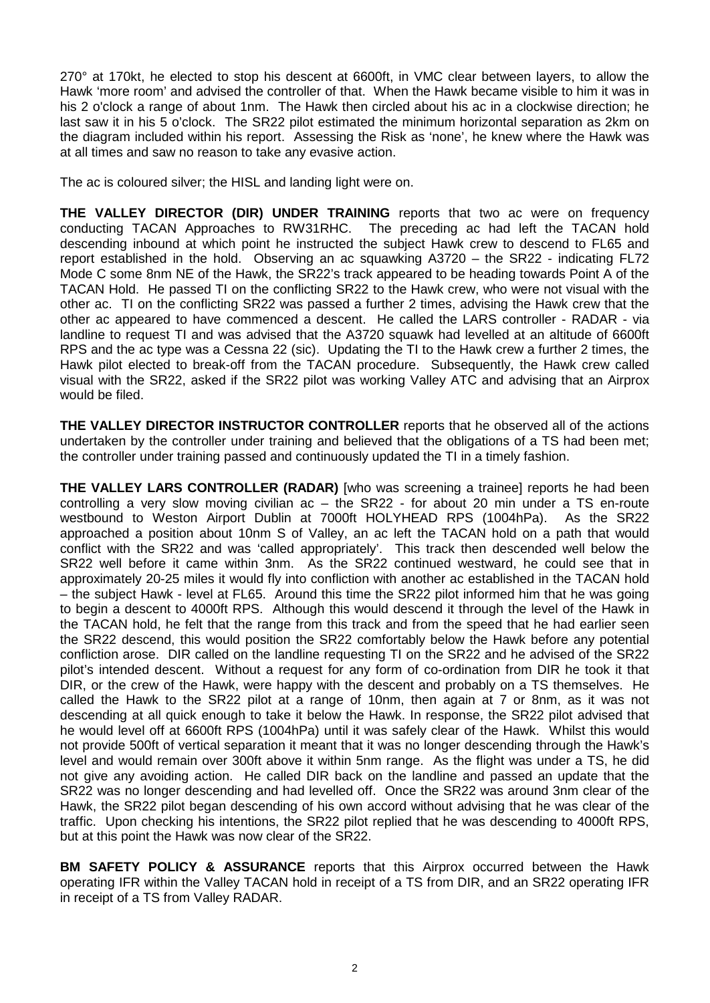270° at 170kt, he elected to stop his descent at 6600ft, in VMC clear between layers, to allow the Hawk 'more room' and advised the controller of that. When the Hawk became visible to him it was in his 2 o'clock a range of about 1nm. The Hawk then circled about his ac in a clockwise direction; he last saw it in his 5 o'clock. The SR22 pilot estimated the minimum horizontal separation as 2km on the diagram included within his report. Assessing the Risk as 'none', he knew where the Hawk was at all times and saw no reason to take any evasive action.

The ac is coloured silver; the HISL and landing light were on.

**THE VALLEY DIRECTOR (DIR) UNDER TRAINING** reports that two ac were on frequency conducting TACAN Approaches to RW31RHC. The preceding ac had left the TACAN hold descending inbound at which point he instructed the subject Hawk crew to descend to FL65 and report established in the hold. Observing an ac squawking A3720 – the SR22 - indicating FL72 Mode C some 8nm NE of the Hawk, the SR22's track appeared to be heading towards Point A of the TACAN Hold. He passed TI on the conflicting SR22 to the Hawk crew, who were not visual with the other ac. TI on the conflicting SR22 was passed a further 2 times, advising the Hawk crew that the other ac appeared to have commenced a descent. He called the LARS controller - RADAR - via landline to request TI and was advised that the A3720 squawk had levelled at an altitude of 6600ft RPS and the ac type was a Cessna 22 (sic). Updating the TI to the Hawk crew a further 2 times, the Hawk pilot elected to break-off from the TACAN procedure. Subsequently, the Hawk crew called visual with the SR22, asked if the SR22 pilot was working Valley ATC and advising that an Airprox would be filed.

**THE VALLEY DIRECTOR INSTRUCTOR CONTROLLER** reports that he observed all of the actions undertaken by the controller under training and believed that the obligations of a TS had been met; the controller under training passed and continuously updated the TI in a timely fashion.

**THE VALLEY LARS CONTROLLER (RADAR)** [who was screening a trainee] reports he had been controlling a very slow moving civilian ac – the SR22 - for about 20 min under a TS en-route westbound to Weston Airport Dublin at 7000ft HOLYHEAD RPS (1004hPa). As the SR22 approached a position about 10nm S of Valley, an ac left the TACAN hold on a path that would conflict with the SR22 and was 'called appropriately'. This track then descended well below the SR22 well before it came within 3nm. As the SR22 continued westward, he could see that in approximately 20-25 miles it would fly into confliction with another ac established in the TACAN hold – the subject Hawk - level at FL65. Around this time the SR22 pilot informed him that he was going to begin a descent to 4000ft RPS. Although this would descend it through the level of the Hawk in the TACAN hold, he felt that the range from this track and from the speed that he had earlier seen the SR22 descend, this would position the SR22 comfortably below the Hawk before any potential confliction arose. DIR called on the landline requesting TI on the SR22 and he advised of the SR22 pilot's intended descent. Without a request for any form of co-ordination from DIR he took it that DIR, or the crew of the Hawk, were happy with the descent and probably on a TS themselves. He called the Hawk to the SR22 pilot at a range of 10nm, then again at 7 or 8nm, as it was not descending at all quick enough to take it below the Hawk. In response, the SR22 pilot advised that he would level off at 6600ft RPS (1004hPa) until it was safely clear of the Hawk. Whilst this would not provide 500ft of vertical separation it meant that it was no longer descending through the Hawk's level and would remain over 300ft above it within 5nm range. As the flight was under a TS, he did not give any avoiding action. He called DIR back on the landline and passed an update that the SR22 was no longer descending and had levelled off. Once the SR22 was around 3nm clear of the Hawk, the SR22 pilot began descending of his own accord without advising that he was clear of the traffic. Upon checking his intentions, the SR22 pilot replied that he was descending to 4000ft RPS, but at this point the Hawk was now clear of the SR22.

**BM SAFETY POLICY & ASSURANCE** reports that this Airprox occurred between the Hawk operating IFR within the Valley TACAN hold in receipt of a TS from DIR, and an SR22 operating IFR in receipt of a TS from Valley RADAR.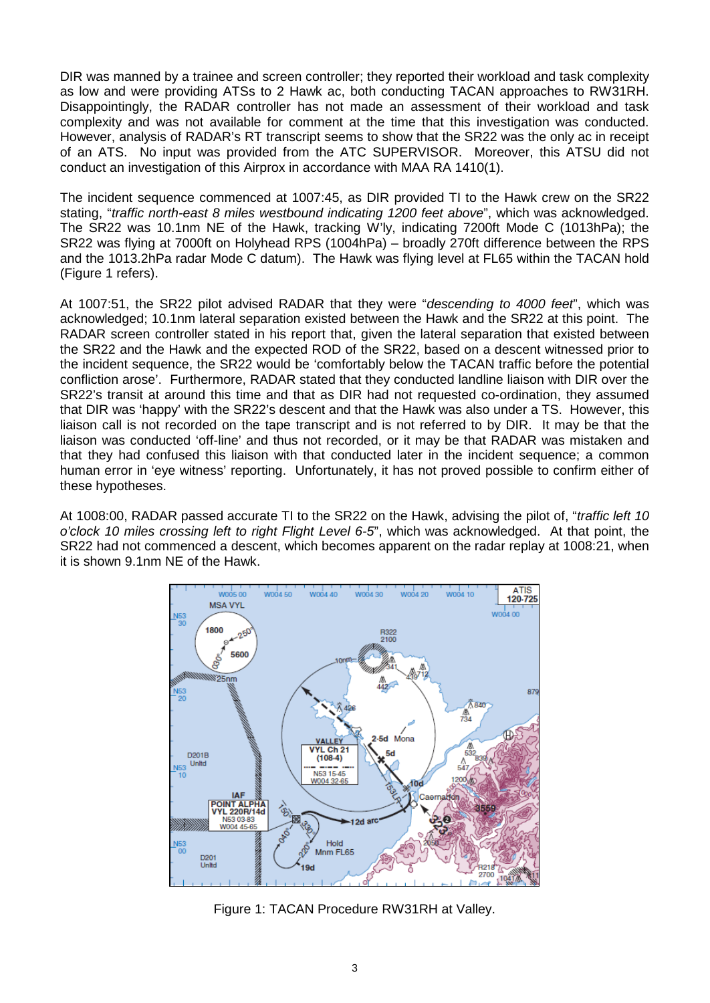DIR was manned by a trainee and screen controller; they reported their workload and task complexity as low and were providing ATSs to 2 Hawk ac, both conducting TACAN approaches to RW31RH. Disappointingly, the RADAR controller has not made an assessment of their workload and task complexity and was not available for comment at the time that this investigation was conducted. However, analysis of RADAR's RT transcript seems to show that the SR22 was the only ac in receipt of an ATS. No input was provided from the ATC SUPERVISOR. Moreover, this ATSU did not conduct an investigation of this Airprox in accordance with MAA RA 1410(1).

The incident sequence commenced at 1007:45, as DIR provided TI to the Hawk crew on the SR22 stating, "*traffic north-east 8 miles westbound indicating 1200 feet above*", which was acknowledged. The SR22 was 10.1nm NE of the Hawk, tracking W'ly, indicating 7200ft Mode C (1013hPa); the SR22 was flying at 7000ft on Holyhead RPS (1004hPa) – broadly 270ft difference between the RPS and the 1013.2hPa radar Mode C datum). The Hawk was flying level at FL65 within the TACAN hold (Figure 1 refers).

At 1007:51, the SR22 pilot advised RADAR that they were "*descending to 4000 feet*", which was acknowledged; 10.1nm lateral separation existed between the Hawk and the SR22 at this point. The RADAR screen controller stated in his report that, given the lateral separation that existed between the SR22 and the Hawk and the expected ROD of the SR22, based on a descent witnessed prior to the incident sequence, the SR22 would be 'comfortably below the TACAN traffic before the potential confliction arose'. Furthermore, RADAR stated that they conducted landline liaison with DIR over the SR22's transit at around this time and that as DIR had not requested co-ordination, they assumed that DIR was 'happy' with the SR22's descent and that the Hawk was also under a TS. However, this liaison call is not recorded on the tape transcript and is not referred to by DIR. It may be that the liaison was conducted 'off-line' and thus not recorded, or it may be that RADAR was mistaken and that they had confused this liaison with that conducted later in the incident sequence; a common human error in 'eye witness' reporting. Unfortunately, it has not proved possible to confirm either of these hypotheses.

At 1008:00, RADAR passed accurate TI to the SR22 on the Hawk, advising the pilot of, "*traffic left 10 o'clock 10 miles crossing left to right Flight Level 6-5*", which was acknowledged. At that point, the SR22 had not commenced a descent, which becomes apparent on the radar replay at 1008:21, when it is shown 9.1nm NE of the Hawk.



Figure 1: TACAN Procedure RW31RH at Valley.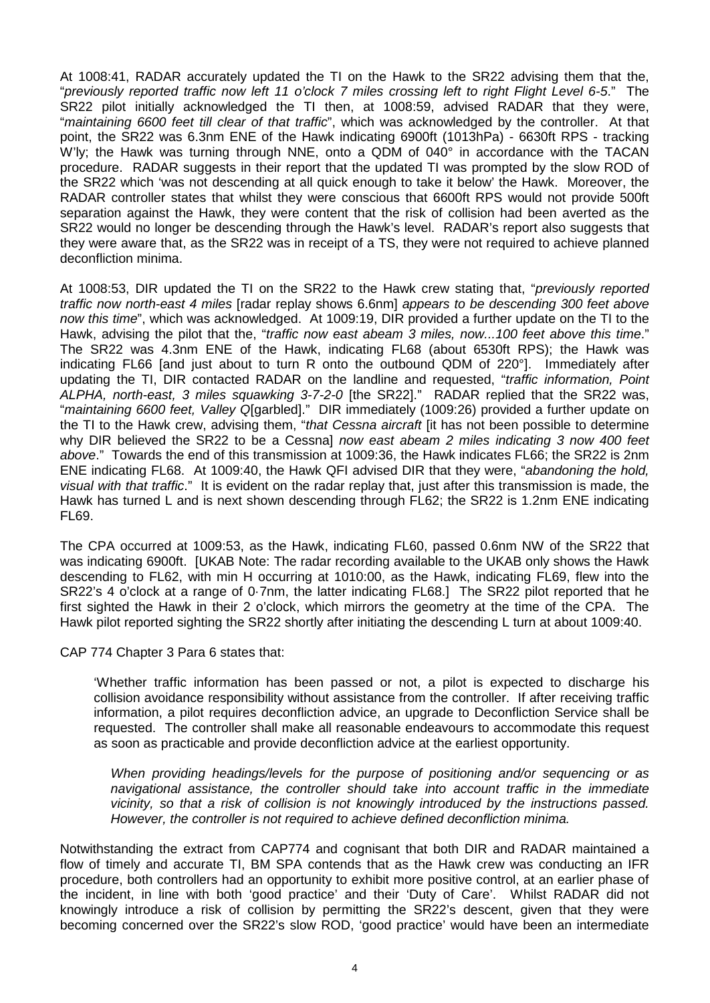At 1008:41, RADAR accurately updated the TI on the Hawk to the SR22 advising them that the, "*previously reported traffic now left 11 o'clock 7 miles crossing left to right Flight Level 6-5*." The SR22 pilot initially acknowledged the TI then, at 1008:59, advised RADAR that they were, "*maintaining 6600 feet till clear of that traffic*", which was acknowledged by the controller. At that point, the SR22 was 6.3nm ENE of the Hawk indicating 6900ft (1013hPa) - 6630ft RPS - tracking W'ly; the Hawk was turning through NNE, onto a QDM of 040° in accordance with the TACAN procedure. RADAR suggests in their report that the updated TI was prompted by the slow ROD of the SR22 which 'was not descending at all quick enough to take it below' the Hawk. Moreover, the RADAR controller states that whilst they were conscious that 6600ft RPS would not provide 500ft separation against the Hawk, they were content that the risk of collision had been averted as the SR22 would no longer be descending through the Hawk's level. RADAR's report also suggests that they were aware that, as the SR22 was in receipt of a TS, they were not required to achieve planned deconfliction minima.

At 1008:53, DIR updated the TI on the SR22 to the Hawk crew stating that, "*previously reported traffic now north-east 4 miles* [radar replay shows 6.6nm] *appears to be descending 300 feet above now this time*", which was acknowledged. At 1009:19, DIR provided a further update on the TI to the Hawk, advising the pilot that the, "*traffic now east abeam 3 miles, now...100 feet above this time*." The SR22 was 4.3nm ENE of the Hawk, indicating FL68 (about 6530ft RPS); the Hawk was indicating FL66 [and just about to turn R onto the outbound QDM of 220°]. Immediately after updating the TI, DIR contacted RADAR on the landline and requested, "*traffic information, Point ALPHA, north-east, 3 miles squawking 3-7-2-0* [the SR22]." RADAR replied that the SR22 was, "*maintaining 6600 feet, Valley Q*[garbled]." DIR immediately (1009:26) provided a further update on the TI to the Hawk crew, advising them, "*that Cessna aircraft* [it has not been possible to determine why DIR believed the SR22 to be a Cessna] *now east abeam 2 miles indicating 3 now 400 feet above*." Towards the end of this transmission at 1009:36, the Hawk indicates FL66; the SR22 is 2nm ENE indicating FL68. At 1009:40, the Hawk QFI advised DIR that they were, "*abandoning the hold, visual with that traffic*." It is evident on the radar replay that, just after this transmission is made, the Hawk has turned L and is next shown descending through FL62; the SR22 is 1.2nm ENE indicating FL69.

The CPA occurred at 1009:53, as the Hawk, indicating FL60, passed 0.6nm NW of the SR22 that was indicating 6900ft. [UKAB Note: The radar recording available to the UKAB only shows the Hawk descending to FL62, with min H occurring at 1010:00, as the Hawk, indicating FL69, flew into the SR22's 4 o'clock at a range of 0·7nm, the latter indicating FL68.] The SR22 pilot reported that he first sighted the Hawk in their 2 o'clock, which mirrors the geometry at the time of the CPA. The Hawk pilot reported sighting the SR22 shortly after initiating the descending L turn at about 1009:40.

CAP 774 Chapter 3 Para 6 states that:

'Whether traffic information has been passed or not, a pilot is expected to discharge his collision avoidance responsibility without assistance from the controller. If after receiving traffic information, a pilot requires deconfliction advice, an upgrade to Deconfliction Service shall be requested. The controller shall make all reasonable endeavours to accommodate this request as soon as practicable and provide deconfliction advice at the earliest opportunity.

*When providing headings/levels for the purpose of positioning and/or sequencing or as navigational assistance, the controller should take into account traffic in the immediate vicinity, so that a risk of collision is not knowingly introduced by the instructions passed. However, the controller is not required to achieve defined deconfliction minima.*

Notwithstanding the extract from CAP774 and cognisant that both DIR and RADAR maintained a flow of timely and accurate TI, BM SPA contends that as the Hawk crew was conducting an IFR procedure, both controllers had an opportunity to exhibit more positive control, at an earlier phase of the incident, in line with both 'good practice' and their 'Duty of Care'. Whilst RADAR did not knowingly introduce a risk of collision by permitting the SR22's descent, given that they were becoming concerned over the SR22's slow ROD, 'good practice' would have been an intermediate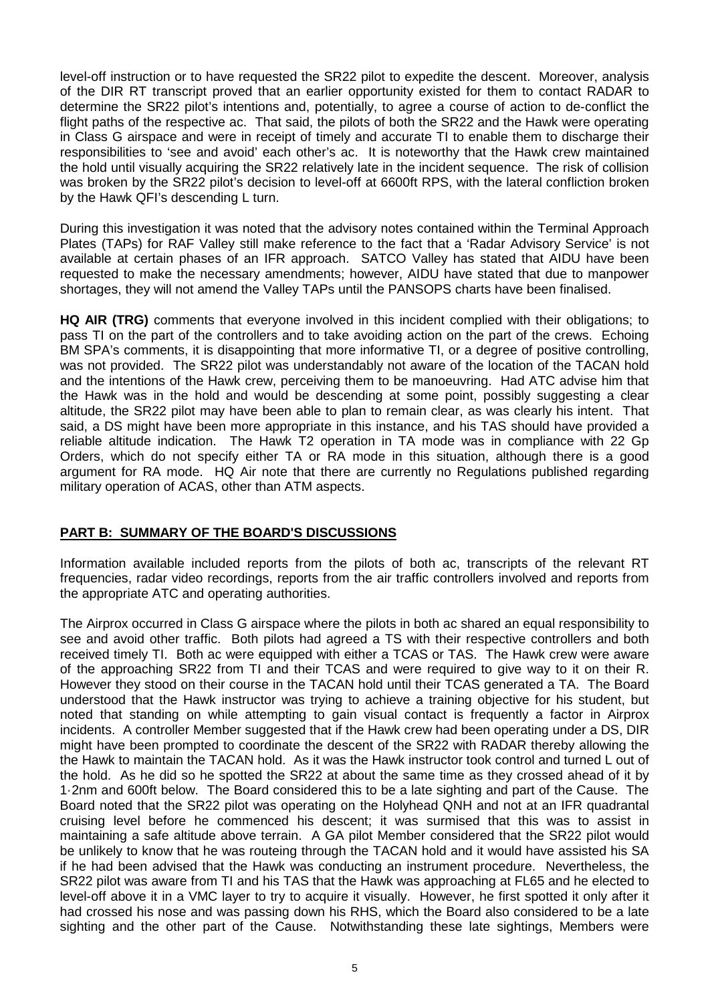level-off instruction or to have requested the SR22 pilot to expedite the descent. Moreover, analysis of the DIR RT transcript proved that an earlier opportunity existed for them to contact RADAR to determine the SR22 pilot's intentions and, potentially, to agree a course of action to de-conflict the flight paths of the respective ac. That said, the pilots of both the SR22 and the Hawk were operating in Class G airspace and were in receipt of timely and accurate TI to enable them to discharge their responsibilities to 'see and avoid' each other's ac. It is noteworthy that the Hawk crew maintained the hold until visually acquiring the SR22 relatively late in the incident sequence. The risk of collision was broken by the SR22 pilot's decision to level-off at 6600ft RPS, with the lateral confliction broken by the Hawk QFI's descending L turn.

During this investigation it was noted that the advisory notes contained within the Terminal Approach Plates (TAPs) for RAF Valley still make reference to the fact that a 'Radar Advisory Service' is not available at certain phases of an IFR approach. SATCO Valley has stated that AIDU have been requested to make the necessary amendments; however, AIDU have stated that due to manpower shortages, they will not amend the Valley TAPs until the PANSOPS charts have been finalised.

**HQ AIR (TRG)** comments that everyone involved in this incident complied with their obligations; to pass TI on the part of the controllers and to take avoiding action on the part of the crews. Echoing BM SPA's comments, it is disappointing that more informative TI, or a degree of positive controlling, was not provided. The SR22 pilot was understandably not aware of the location of the TACAN hold and the intentions of the Hawk crew, perceiving them to be manoeuvring. Had ATC advise him that the Hawk was in the hold and would be descending at some point, possibly suggesting a clear altitude, the SR22 pilot may have been able to plan to remain clear, as was clearly his intent. That said, a DS might have been more appropriate in this instance, and his TAS should have provided a reliable altitude indication. The Hawk T2 operation in TA mode was in compliance with 22 Gp Orders, which do not specify either TA or RA mode in this situation, although there is a good argument for RA mode. HQ Air note that there are currently no Regulations published regarding military operation of ACAS, other than ATM aspects.

## **PART B: SUMMARY OF THE BOARD'S DISCUSSIONS**

Information available included reports from the pilots of both ac, transcripts of the relevant RT frequencies, radar video recordings, reports from the air traffic controllers involved and reports from the appropriate ATC and operating authorities.

The Airprox occurred in Class G airspace where the pilots in both ac shared an equal responsibility to see and avoid other traffic. Both pilots had agreed a TS with their respective controllers and both received timely TI. Both ac were equipped with either a TCAS or TAS. The Hawk crew were aware of the approaching SR22 from TI and their TCAS and were required to give way to it on their R. However they stood on their course in the TACAN hold until their TCAS generated a TA. The Board understood that the Hawk instructor was trying to achieve a training objective for his student, but noted that standing on while attempting to gain visual contact is frequently a factor in Airprox incidents. A controller Member suggested that if the Hawk crew had been operating under a DS, DIR might have been prompted to coordinate the descent of the SR22 with RADAR thereby allowing the the Hawk to maintain the TACAN hold. As it was the Hawk instructor took control and turned L out of the hold. As he did so he spotted the SR22 at about the same time as they crossed ahead of it by 1·2nm and 600ft below. The Board considered this to be a late sighting and part of the Cause. The Board noted that the SR22 pilot was operating on the Holyhead QNH and not at an IFR quadrantal cruising level before he commenced his descent; it was surmised that this was to assist in maintaining a safe altitude above terrain. A GA pilot Member considered that the SR22 pilot would be unlikely to know that he was routeing through the TACAN hold and it would have assisted his SA if he had been advised that the Hawk was conducting an instrument procedure. Nevertheless, the SR22 pilot was aware from TI and his TAS that the Hawk was approaching at FL65 and he elected to level-off above it in a VMC layer to try to acquire it visually. However, he first spotted it only after it had crossed his nose and was passing down his RHS, which the Board also considered to be a late sighting and the other part of the Cause. Notwithstanding these late sightings, Members were